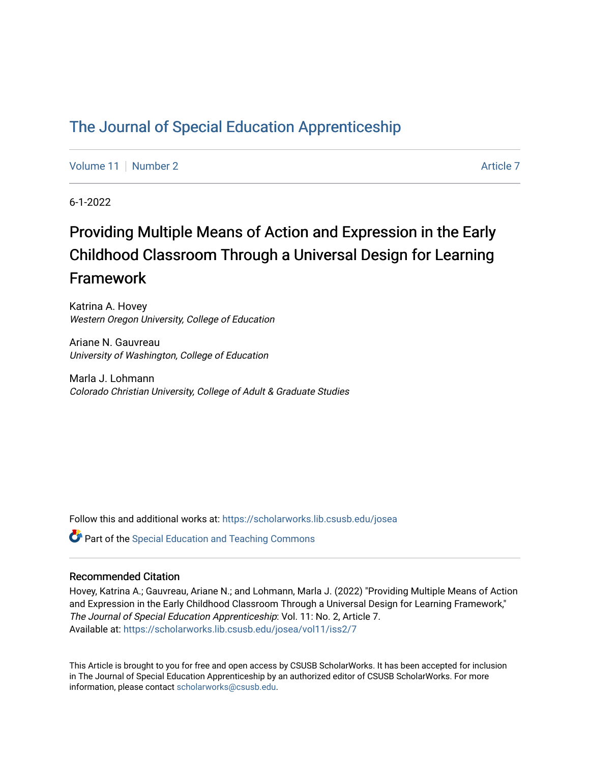# [The Journal of Special Education Apprenticeship](https://scholarworks.lib.csusb.edu/josea)

[Volume 11](https://scholarworks.lib.csusb.edu/josea/vol11) | [Number 2](https://scholarworks.lib.csusb.edu/josea/vol11/iss2) [Article 7](https://scholarworks.lib.csusb.edu/josea/vol11/iss2/7) Article 7 Article 7 Article 7 Article 7 Article 7 Article 7 Article 7 Article 7

6-1-2022

# Providing Multiple Means of Action and Expression in the Early Childhood Classroom Through a Universal Design for Learning Framework

Katrina A. Hovey Western Oregon University, College of Education

Ariane N. Gauvreau University of Washington, College of Education

Marla J. Lohmann Colorado Christian University, College of Adult & Graduate Studies

Follow this and additional works at: [https://scholarworks.lib.csusb.edu/josea](https://scholarworks.lib.csusb.edu/josea?utm_source=scholarworks.lib.csusb.edu%2Fjosea%2Fvol11%2Fiss2%2F7&utm_medium=PDF&utm_campaign=PDFCoverPages) 

**P** Part of the Special Education and Teaching Commons

#### Recommended Citation

Hovey, Katrina A.; Gauvreau, Ariane N.; and Lohmann, Marla J. (2022) "Providing Multiple Means of Action and Expression in the Early Childhood Classroom Through a Universal Design for Learning Framework," The Journal of Special Education Apprenticeship: Vol. 11: No. 2, Article 7. Available at: [https://scholarworks.lib.csusb.edu/josea/vol11/iss2/7](https://scholarworks.lib.csusb.edu/josea/vol11/iss2/7?utm_source=scholarworks.lib.csusb.edu%2Fjosea%2Fvol11%2Fiss2%2F7&utm_medium=PDF&utm_campaign=PDFCoverPages)

This Article is brought to you for free and open access by CSUSB ScholarWorks. It has been accepted for inclusion in The Journal of Special Education Apprenticeship by an authorized editor of CSUSB ScholarWorks. For more information, please contact [scholarworks@csusb.edu.](mailto:scholarworks@csusb.edu)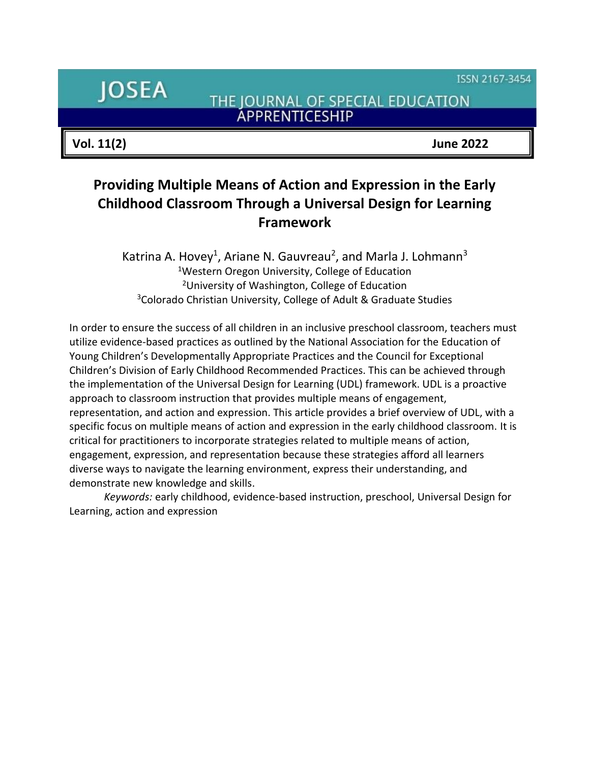ISSN 2167-3454

**JOSEA** 

THE JOURNAL OF SPECIAL EDUCATION **ÁPPRENTICESHIP** 

**Vol. 11(2) June 2022**

# **Providing Multiple Means of Action and Expression in the Early Childhood Classroom Through a Universal Design for Learning Framework**

Katrina A. Hovey<sup>1</sup>, Ariane N. Gauvreau<sup>2</sup>, and Marla J. Lohmann<sup>3</sup> <sup>1</sup>Western Oregon University, College of Education <sup>2</sup>University of Washington, College of Education <sup>3</sup>Colorado Christian University, College of Adult & Graduate Studies

In order to ensure the success of all children in an inclusive preschool classroom, teachers must utilize evidence-based practices as outlined by the National Association for the Education of Young Children's Developmentally Appropriate Practices and the Council for Exceptional Children's Division of Early Childhood Recommended Practices. This can be achieved through the implementation of the Universal Design for Learning (UDL) framework. UDL is a proactive approach to classroom instruction that provides multiple means of engagement, representation, and action and expression. This article provides a brief overview of UDL, with a specific focus on multiple means of action and expression in the early childhood classroom. It is critical for practitioners to incorporate strategies related to multiple means of action, engagement, expression, and representation because these strategies afford all learners diverse ways to navigate the learning environment, express their understanding, and demonstrate new knowledge and skills.

*Keywords:* early childhood, evidence-based instruction, preschool, Universal Design for Learning, action and expression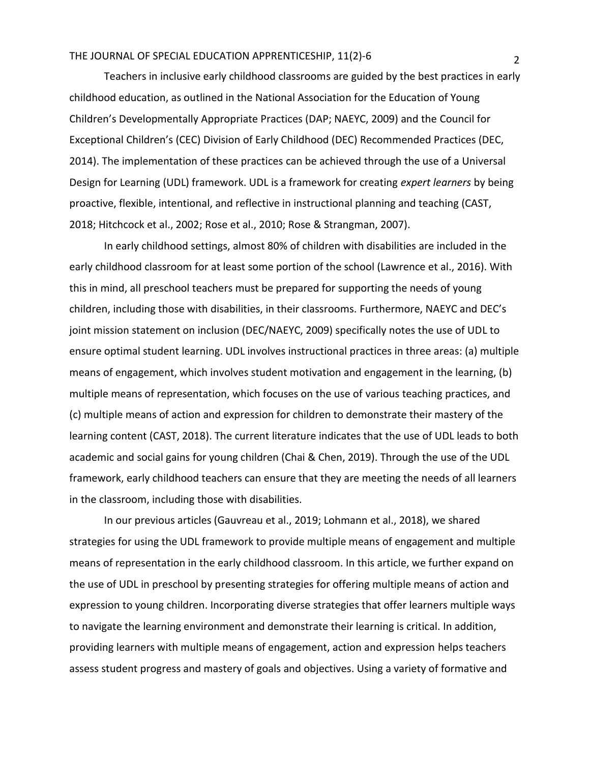Teachers in inclusive early childhood classrooms are guided by the best practices in early childhood education, as outlined in the National Association for the Education of Young Children's Developmentally Appropriate Practices (DAP; NAEYC, 2009) and the Council for Exceptional Children's (CEC) Division of Early Childhood (DEC) Recommended Practices (DEC, 2014). The implementation of these practices can be achieved through the use of a Universal Design for Learning (UDL) framework. UDL is a framework for creating *expert learners* by being proactive, flexible, intentional, and reflective in instructional planning and teaching (CAST, 2018; Hitchcock et al., 2002; Rose et al., 2010; Rose & Strangman, 2007).

In early childhood settings, almost 80% of children with disabilities are included in the early childhood classroom for at least some portion of the school (Lawrence et al., 2016). With this in mind, all preschool teachers must be prepared for supporting the needs of young children, including those with disabilities, in their classrooms. Furthermore, NAEYC and DEC's joint mission statement on inclusion (DEC/NAEYC, 2009) specifically notes the use of UDL to ensure optimal student learning. UDL involves instructional practices in three areas: (a) multiple means of engagement, which involves student motivation and engagement in the learning, (b) multiple means of representation, which focuses on the use of various teaching practices, and (c) multiple means of action and expression for children to demonstrate their mastery of the learning content (CAST, 2018). The current literature indicates that the use of UDL leads to both academic and social gains for young children (Chai & Chen, 2019). Through the use of the UDL framework, early childhood teachers can ensure that they are meeting the needs of all learners in the classroom, including those with disabilities.

In our previous articles (Gauvreau et al., 2019; Lohmann et al., 2018), we shared strategies for using the UDL framework to provide multiple means of engagement and multiple means of representation in the early childhood classroom. In this article, we further expand on the use of UDL in preschool by presenting strategies for offering multiple means of action and expression to young children. Incorporating diverse strategies that offer learners multiple ways to navigate the learning environment and demonstrate their learning is critical. In addition, providing learners with multiple means of engagement, action and expression helps teachers assess student progress and mastery of goals and objectives. Using a variety of formative and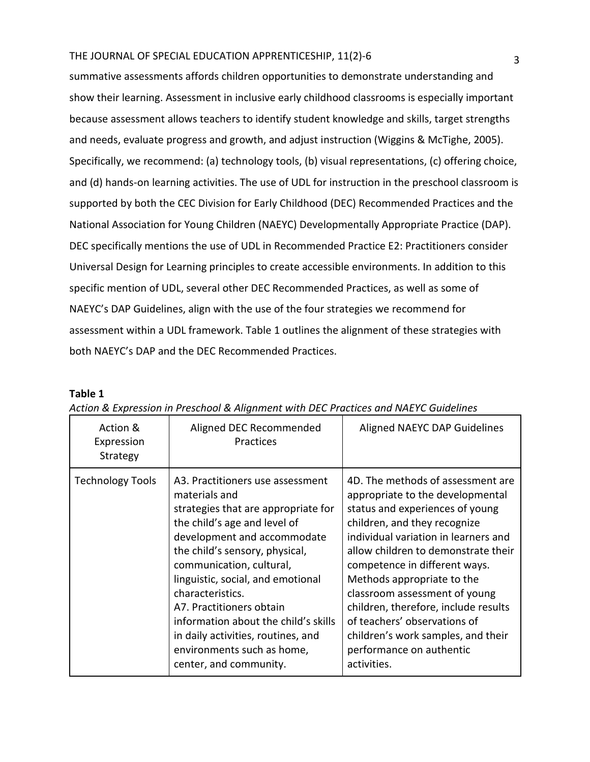summative assessments affords children opportunities to demonstrate understanding and show their learning. Assessment in inclusive early childhood classrooms is especially important because assessment allows teachers to identify student knowledge and skills, target strengths and needs, evaluate progress and growth, and adjust instruction (Wiggins & McTighe, 2005). Specifically, we recommend: (a) technology tools, (b) visual representations, (c) offering choice, and (d) hands-on learning activities. The use of UDL for instruction in the preschool classroom is supported by both the CEC Division for Early Childhood (DEC) Recommended Practices and the National Association for Young Children (NAEYC) Developmentally Appropriate Practice (DAP). DEC specifically mentions the use of UDL in Recommended Practice E2: Practitioners consider Universal Design for Learning principles to create accessible environments. In addition to this specific mention of UDL, several other DEC Recommended Practices, as well as some of NAEYC's DAP Guidelines, align with the use of the four strategies we recommend for assessment within a UDL framework. Table 1 outlines the alignment of these strategies with both NAEYC's DAP and the DEC Recommended Practices.

#### **Table 1**

| Action &<br>Expression<br>Strategy | Aligned DEC Recommended<br>Practices                                                                                                                                                                                                                                                                                                                                                                                                             | Aligned NAEYC DAP Guidelines                                                                                                                                                                                                                                                                                                                                                                                                                                                     |
|------------------------------------|--------------------------------------------------------------------------------------------------------------------------------------------------------------------------------------------------------------------------------------------------------------------------------------------------------------------------------------------------------------------------------------------------------------------------------------------------|----------------------------------------------------------------------------------------------------------------------------------------------------------------------------------------------------------------------------------------------------------------------------------------------------------------------------------------------------------------------------------------------------------------------------------------------------------------------------------|
| <b>Technology Tools</b>            | A3. Practitioners use assessment<br>materials and<br>strategies that are appropriate for<br>the child's age and level of<br>development and accommodate<br>the child's sensory, physical,<br>communication, cultural,<br>linguistic, social, and emotional<br>characteristics.<br>A7. Practitioners obtain<br>information about the child's skills<br>in daily activities, routines, and<br>environments such as home,<br>center, and community. | 4D. The methods of assessment are<br>appropriate to the developmental<br>status and experiences of young<br>children, and they recognize<br>individual variation in learners and<br>allow children to demonstrate their<br>competence in different ways.<br>Methods appropriate to the<br>classroom assessment of young<br>children, therefore, include results<br>of teachers' observations of<br>children's work samples, and their<br>performance on authentic<br>activities. |

| Action & Expression in Preschool & Alignment with DEC Practices and NAEYC Guidelines |  |
|--------------------------------------------------------------------------------------|--|
|--------------------------------------------------------------------------------------|--|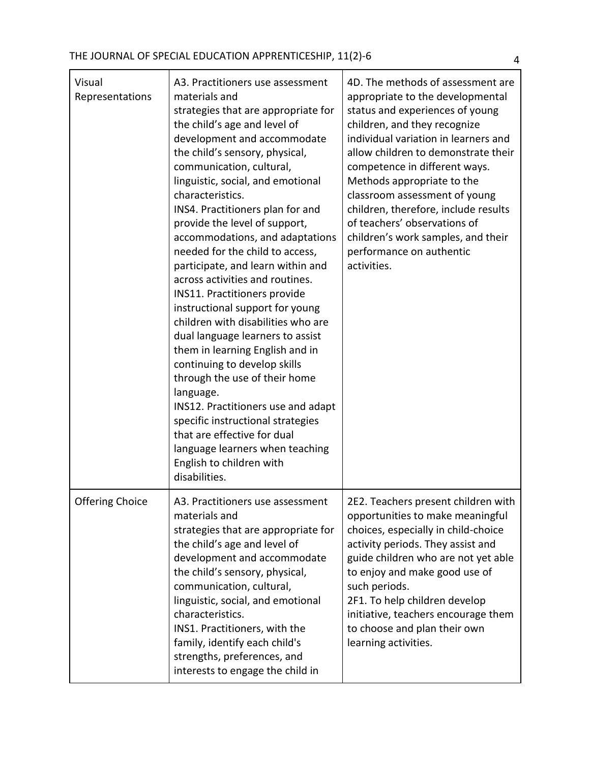| Visual<br>Representations | A3. Practitioners use assessment<br>materials and<br>strategies that are appropriate for<br>the child's age and level of<br>development and accommodate<br>the child's sensory, physical,<br>communication, cultural,<br>linguistic, social, and emotional<br>characteristics.<br>INS4. Practitioners plan for and<br>provide the level of support,<br>accommodations, and adaptations<br>needed for the child to access,<br>participate, and learn within and<br>across activities and routines.<br>INS11. Practitioners provide<br>instructional support for young<br>children with disabilities who are<br>dual language learners to assist<br>them in learning English and in<br>continuing to develop skills<br>through the use of their home<br>language.<br>INS12. Practitioners use and adapt<br>specific instructional strategies<br>that are effective for dual<br>language learners when teaching<br>English to children with<br>disabilities. | 4D. The methods of assessment are<br>appropriate to the developmental<br>status and experiences of young<br>children, and they recognize<br>individual variation in learners and<br>allow children to demonstrate their<br>competence in different ways.<br>Methods appropriate to the<br>classroom assessment of young<br>children, therefore, include results<br>of teachers' observations of<br>children's work samples, and their<br>performance on authentic<br>activities. |
|---------------------------|-----------------------------------------------------------------------------------------------------------------------------------------------------------------------------------------------------------------------------------------------------------------------------------------------------------------------------------------------------------------------------------------------------------------------------------------------------------------------------------------------------------------------------------------------------------------------------------------------------------------------------------------------------------------------------------------------------------------------------------------------------------------------------------------------------------------------------------------------------------------------------------------------------------------------------------------------------------|----------------------------------------------------------------------------------------------------------------------------------------------------------------------------------------------------------------------------------------------------------------------------------------------------------------------------------------------------------------------------------------------------------------------------------------------------------------------------------|
| <b>Offering Choice</b>    | A3. Practitioners use assessment<br>materials and<br>strategies that are appropriate for<br>the child's age and level of<br>development and accommodate<br>the child's sensory, physical,<br>communication, cultural,<br>linguistic, social, and emotional<br>characteristics.<br>INS1. Practitioners, with the<br>family, identify each child's<br>strengths, preferences, and<br>interests to engage the child in                                                                                                                                                                                                                                                                                                                                                                                                                                                                                                                                       | 2E2. Teachers present children with<br>opportunities to make meaningful<br>choices, especially in child-choice<br>activity periods. They assist and<br>guide children who are not yet able<br>to enjoy and make good use of<br>such periods.<br>2F1. To help children develop<br>initiative, teachers encourage them<br>to choose and plan their own<br>learning activities.                                                                                                     |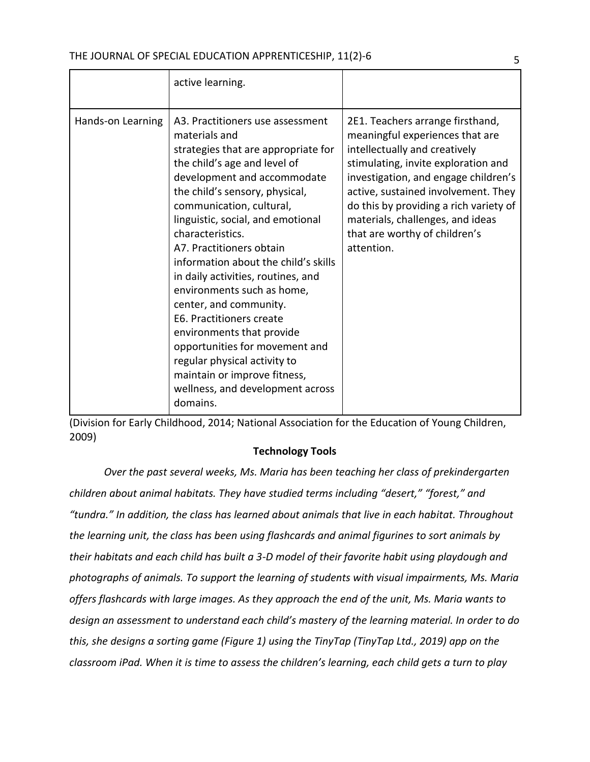|                   | active learning.                                                                                                                                                                                                                                                                                                                                                                                                                                                                                                                                                                                                                                            |                                                                                                                                                                                                                                                                                                                                                         |
|-------------------|-------------------------------------------------------------------------------------------------------------------------------------------------------------------------------------------------------------------------------------------------------------------------------------------------------------------------------------------------------------------------------------------------------------------------------------------------------------------------------------------------------------------------------------------------------------------------------------------------------------------------------------------------------------|---------------------------------------------------------------------------------------------------------------------------------------------------------------------------------------------------------------------------------------------------------------------------------------------------------------------------------------------------------|
| Hands-on Learning | A3. Practitioners use assessment<br>materials and<br>strategies that are appropriate for<br>the child's age and level of<br>development and accommodate<br>the child's sensory, physical,<br>communication, cultural,<br>linguistic, social, and emotional<br>characteristics.<br>A7. Practitioners obtain<br>information about the child's skills<br>in daily activities, routines, and<br>environments such as home,<br>center, and community.<br>E6. Practitioners create<br>environments that provide<br>opportunities for movement and<br>regular physical activity to<br>maintain or improve fitness,<br>wellness, and development across<br>domains. | 2E1. Teachers arrange firsthand,<br>meaningful experiences that are<br>intellectually and creatively<br>stimulating, invite exploration and<br>investigation, and engage children's<br>active, sustained involvement. They<br>do this by providing a rich variety of<br>materials, challenges, and ideas<br>that are worthy of children's<br>attention. |

(Division for Early Childhood, 2014; National Association for the Education of Young Children, 2009)

## **Technology Tools**

*Over the past several weeks, Ms. Maria has been teaching her class of prekindergarten children about animal habitats. They have studied terms including "desert," "forest," and "tundra." In addition, the class has learned about animals that live in each habitat. Throughout the learning unit, the class has been using flashcards and animal figurines to sort animals by their habitats and each child has built a 3-D model of their favorite habit using playdough and photographs of animals. To support the learning of students with visual impairments, Ms. Maria offers flashcards with large images. As they approach the end of the unit, Ms. Maria wants to design an assessment to understand each child's mastery of the learning material. In order to do this, she designs a sorting game (Figure 1) using the TinyTap (TinyTap Ltd., 2019) app on the classroom iPad. When it is time to assess the children's learning, each child gets a turn to play*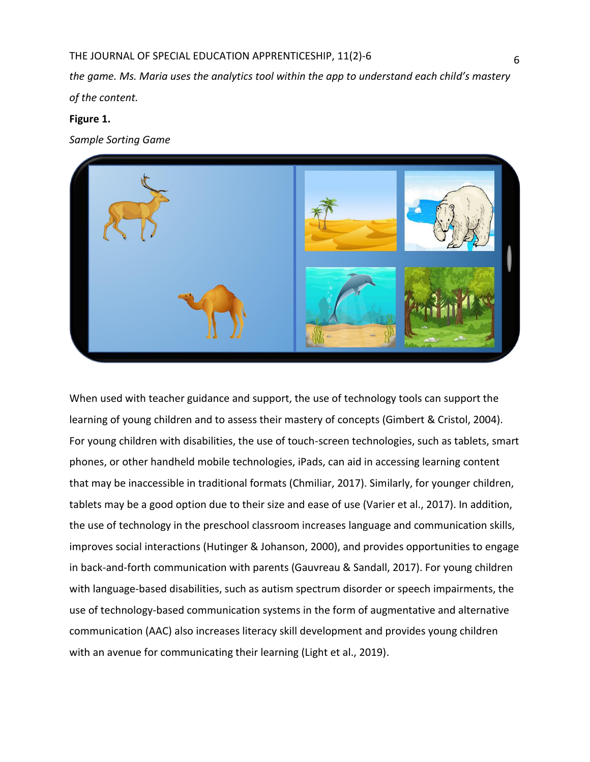*the game. Ms. Maria uses the analytics tool within the app to understand each child's mastery of the content.*

## **Figure 1.**

*Sample Sorting Game*



When used with teacher guidance and support, the use of technology tools can support the learning of young children and to assess their mastery of concepts (Gimbert & Cristol, 2004). For young children with disabilities, the use of touch-screen technologies, such as tablets, smart phones, or other handheld mobile technologies, iPads, can aid in accessing learning content that may be inaccessible in traditional formats (Chmiliar, 2017). Similarly, for younger children, tablets may be a good option due to their size and ease of use (Varier et al., 2017). In addition, the use of technology in the preschool classroom increases language and communication skills, improves social interactions (Hutinger & Johanson, 2000), and provides opportunities to engage in back-and-forth communication with parents (Gauvreau & Sandall, 2017). For young children with language-based disabilities, such as autism spectrum disorder or speech impairments, the use of technology-based communication systems in the form of augmentative and alternative communication (AAC) also increases literacy skill development and provides young children with an avenue for communicating their learning (Light et al., 2019).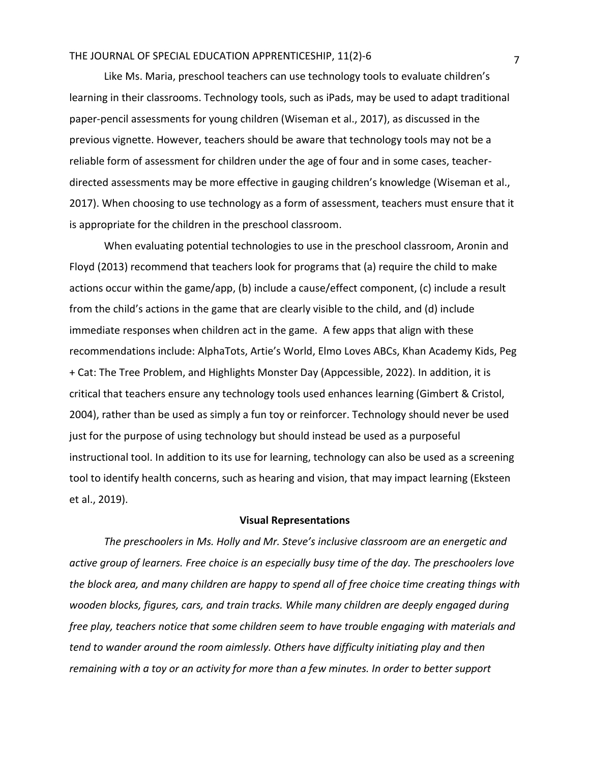Like Ms. Maria, preschool teachers can use technology tools to evaluate children's learning in their classrooms. Technology tools, such as iPads, may be used to adapt traditional paper-pencil assessments for young children (Wiseman et al., 2017), as discussed in the previous vignette. However, teachers should be aware that technology tools may not be a reliable form of assessment for children under the age of four and in some cases, teacherdirected assessments may be more effective in gauging children's knowledge (Wiseman et al., 2017). When choosing to use technology as a form of assessment, teachers must ensure that it is appropriate for the children in the preschool classroom.

When evaluating potential technologies to use in the preschool classroom, Aronin and Floyd (2013) recommend that teachers look for programs that (a) require the child to make actions occur within the game/app, (b) include a cause/effect component, (c) include a result from the child's actions in the game that are clearly visible to the child, and (d) include immediate responses when children act in the game. A few apps that align with these recommendations include: AlphaTots, Artie's World, Elmo Loves ABCs, Khan Academy Kids, Peg + Cat: The Tree Problem, and Highlights Monster Day (Appcessible, 2022). In addition, it is critical that teachers ensure any technology tools used enhances learning (Gimbert & Cristol, 2004), rather than be used as simply a fun toy or reinforcer. Technology should never be used just for the purpose of using technology but should instead be used as a purposeful instructional tool. In addition to its use for learning, technology can also be used as a screening tool to identify health concerns, such as hearing and vision, that may impact learning (Eksteen et al., 2019).

#### **Visual Representations**

*The preschoolers in Ms. Holly and Mr. Steve's inclusive classroom are an energetic and active group of learners. Free choice is an especially busy time of the day. The preschoolers love the block area, and many children are happy to spend all of free choice time creating things with wooden blocks, figures, cars, and train tracks. While many children are deeply engaged during free play, teachers notice that some children seem to have trouble engaging with materials and tend to wander around the room aimlessly. Others have difficulty initiating play and then remaining with a toy or an activity for more than a few minutes. In order to better support*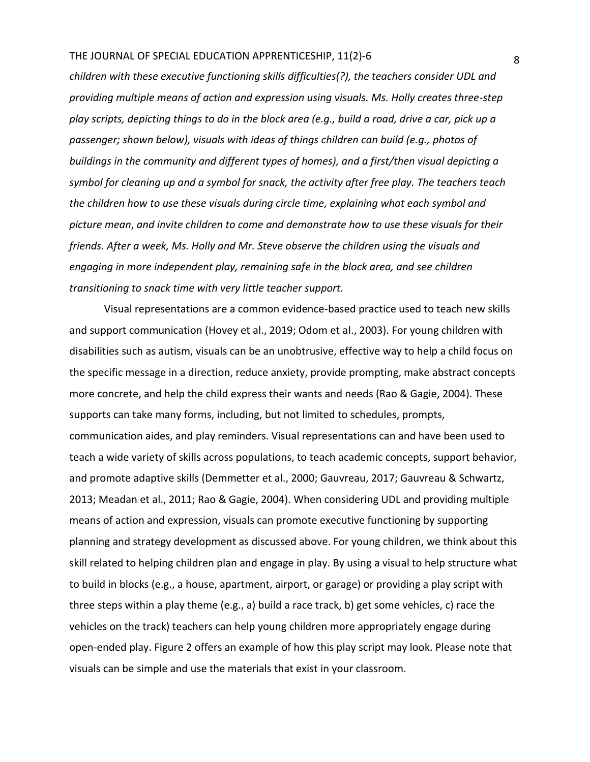*children with these executive functioning skills difficulties(?), the teachers consider UDL and providing multiple means of action and expression using visuals. Ms. Holly creates three-step play scripts, depicting things to do in the block area (e.g., build a road, drive a car, pick up a passenger; shown below), visuals with ideas of things children can build (e.g., photos of buildings in the community and different types of homes), and a first/then visual depicting a symbol for cleaning up and a symbol for snack, the activity after free play. The teachers teach the children how to use these visuals during circle time, explaining what each symbol and picture mean*, *and invite children to come and demonstrate how to use these visuals for their friends. After a week, Ms. Holly and Mr. Steve observe the children using the visuals and engaging in more independent play, remaining safe in the block area, and see children transitioning to snack time with very little teacher support.* 

Visual representations are a common evidence-based practice used to teach new skills and support communication (Hovey et al., 2019; Odom et al., 2003). For young children with disabilities such as autism, visuals can be an unobtrusive, effective way to help a child focus on the specific message in a direction, reduce anxiety, provide prompting, make abstract concepts more concrete, and help the child express their wants and needs (Rao & Gagie, 2004). These supports can take many forms, including, but not limited to schedules, prompts, communication aides, and play reminders. Visual representations can and have been used to teach a wide variety of skills across populations, to teach academic concepts, support behavior, and promote adaptive skills (Demmetter et al., 2000; Gauvreau, 2017; Gauvreau & Schwartz, 2013; Meadan et al., 2011; Rao & Gagie, 2004). When considering UDL and providing multiple means of action and expression, visuals can promote executive functioning by supporting planning and strategy development as discussed above. For young children, we think about this skill related to helping children plan and engage in play. By using a visual to help structure what to build in blocks (e.g., a house, apartment, airport, or garage) or providing a play script with three steps within a play theme (e.g., a) build a race track, b) get some vehicles, c) race the vehicles on the track) teachers can help young children more appropriately engage during open-ended play. Figure 2 offers an example of how this play script may look. Please note that visuals can be simple and use the materials that exist in your classroom.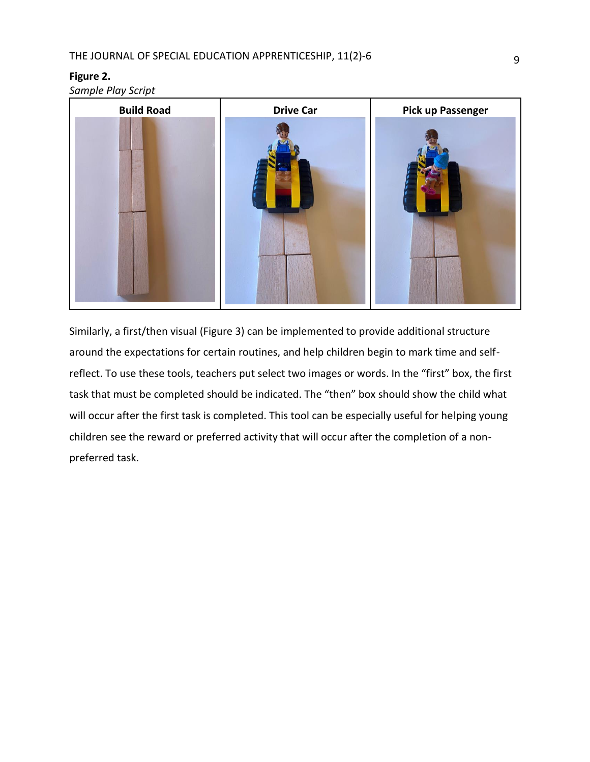#### **Figure 2.**

*Sample Play Script*



Similarly, a first/then visual (Figure 3) can be implemented to provide additional structure around the expectations for certain routines, and help children begin to mark time and selfreflect. To use these tools, teachers put select two images or words. In the "first" box, the first task that must be completed should be indicated. The "then" box should show the child what will occur after the first task is completed. This tool can be especially useful for helping young children see the reward or preferred activity that will occur after the completion of a nonpreferred task.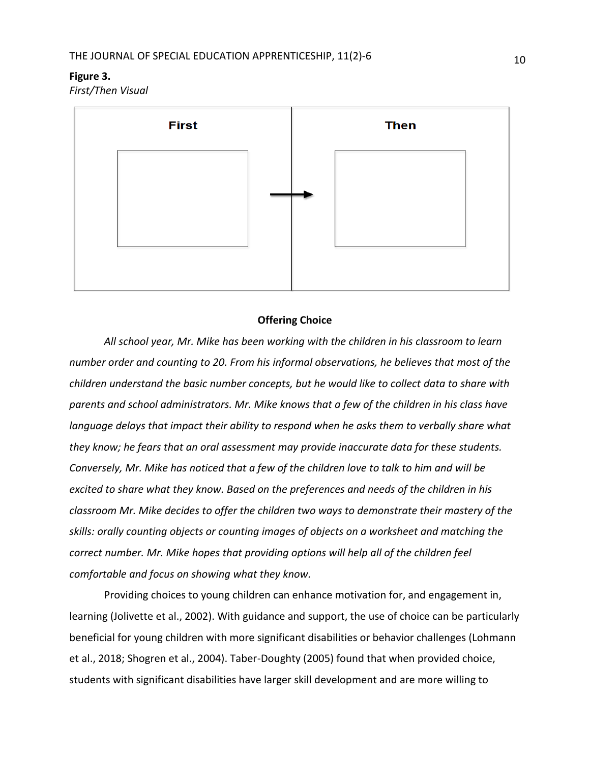#### **Figure 3.**

*First/Then Visual*



#### **Offering Choice**

*All school year, Mr. Mike has been working with the children in his classroom to learn number order and counting to 20. From his informal observations, he believes that most of the children understand the basic number concepts, but he would like to collect data to share with parents and school administrators. Mr. Mike knows that a few of the children in his class have language delays that impact their ability to respond when he asks them to verbally share what they know; he fears that an oral assessment may provide inaccurate data for these students. Conversely, Mr. Mike has noticed that a few of the children love to talk to him and will be excited to share what they know. Based on the preferences and needs of the children in his classroom Mr. Mike decides to offer the children two ways to demonstrate their mastery of the skills: orally counting objects or counting images of objects on a worksheet and matching the correct number. Mr. Mike hopes that providing options will help all of the children feel comfortable and focus on showing what they know.* 

Providing choices to young children can enhance motivation for, and engagement in, learning (Jolivette et al., 2002). With guidance and support, the use of choice can be particularly beneficial for young children with more significant disabilities or behavior challenges (Lohmann et al., 2018; Shogren et al., 2004). Taber-Doughty (2005) found that when provided choice, students with significant disabilities have larger skill development and are more willing to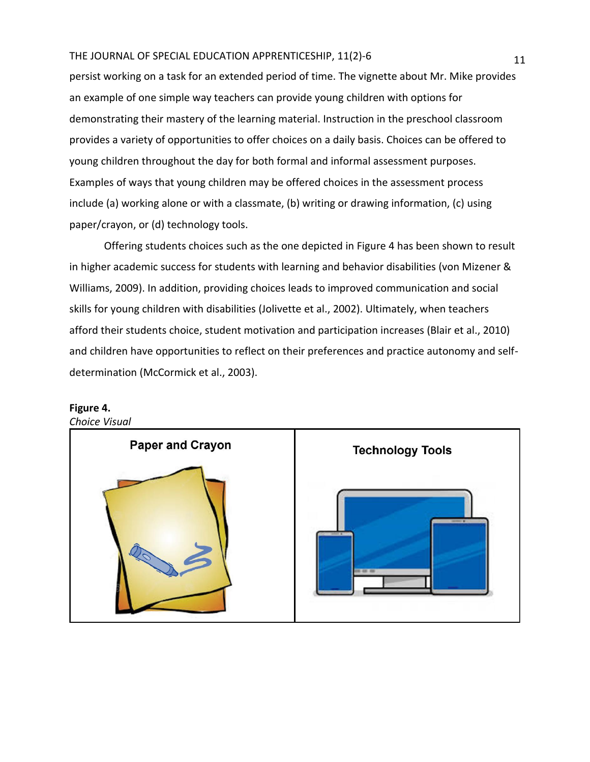persist working on a task for an extended period of time. The vignette about Mr. Mike provides an example of one simple way teachers can provide young children with options for demonstrating their mastery of the learning material. Instruction in the preschool classroom provides a variety of opportunities to offer choices on a daily basis. Choices can be offered to young children throughout the day for both formal and informal assessment purposes. Examples of ways that young children may be offered choices in the assessment process include (a) working alone or with a classmate, (b) writing or drawing information, (c) using paper/crayon, or (d) technology tools.

Offering students choices such as the one depicted in Figure 4 has been shown to result in higher academic success for students with learning and behavior disabilities (von Mizener & Williams, 2009). In addition, providing choices leads to improved communication and social skills for young children with disabilities (Jolivette et al., 2002). Ultimately, when teachers afford their students choice, student motivation and participation increases (Blair et al., 2010) and children have opportunities to reflect on their preferences and practice autonomy and selfdetermination (McCormick et al., 2003).



# **Figure 4.**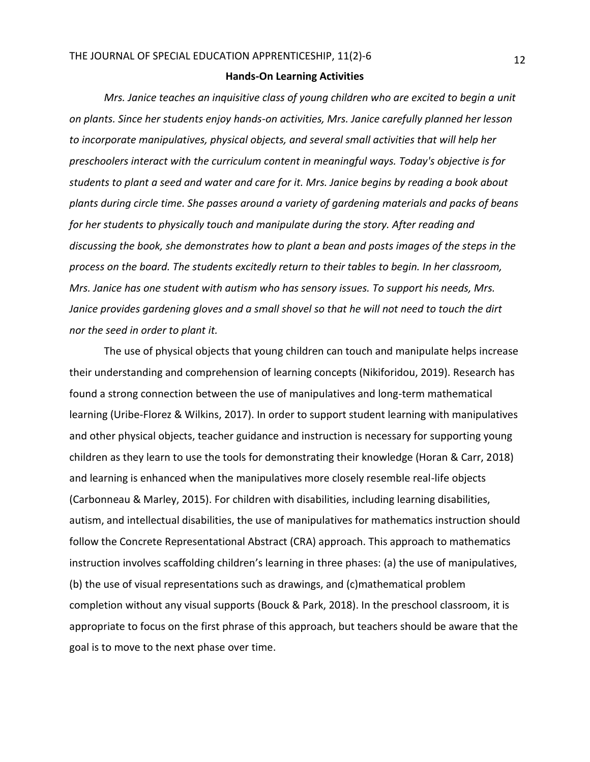#### **Hands-On Learning Activities**

*Mrs. Janice teaches an inquisitive class of young children who are excited to begin a unit on plants. Since her students enjoy hands-on activities, Mrs. Janice carefully planned her lesson to incorporate manipulatives, physical objects, and several small activities that will help her preschoolers interact with the curriculum content in meaningful ways. Today's objective is for students to plant a seed and water and care for it. Mrs. Janice begins by reading a book about plants during circle time. She passes around a variety of gardening materials and packs of beans for her students to physically touch and manipulate during the story. After reading and discussing the book, she demonstrates how to plant a bean and posts images of the steps in the process on the board. The students excitedly return to their tables to begin. In her classroom, Mrs. Janice has one student with autism who has sensory issues. To support his needs, Mrs. Janice provides gardening gloves and a small shovel so that he will not need to touch the dirt nor the seed in order to plant it.*

The use of physical objects that young children can touch and manipulate helps increase their understanding and comprehension of learning concepts (Nikiforidou, 2019). Research has found a strong connection between the use of manipulatives and long-term mathematical learning (Uribe-Florez & Wilkins, 2017). In order to support student learning with manipulatives and other physical objects, teacher guidance and instruction is necessary for supporting young children as they learn to use the tools for demonstrating their knowledge (Horan & Carr, 2018) and learning is enhanced when the manipulatives more closely resemble real-life objects (Carbonneau & Marley, 2015). For children with disabilities, including learning disabilities, autism, and intellectual disabilities, the use of manipulatives for mathematics instruction should follow the Concrete Representational Abstract (CRA) approach. This approach to mathematics instruction involves scaffolding children's learning in three phases: (a) the use of manipulatives, (b) the use of visual representations such as drawings, and (c)mathematical problem completion without any visual supports (Bouck & Park, 2018). In the preschool classroom, it is appropriate to focus on the first phrase of this approach, but teachers should be aware that the goal is to move to the next phase over time.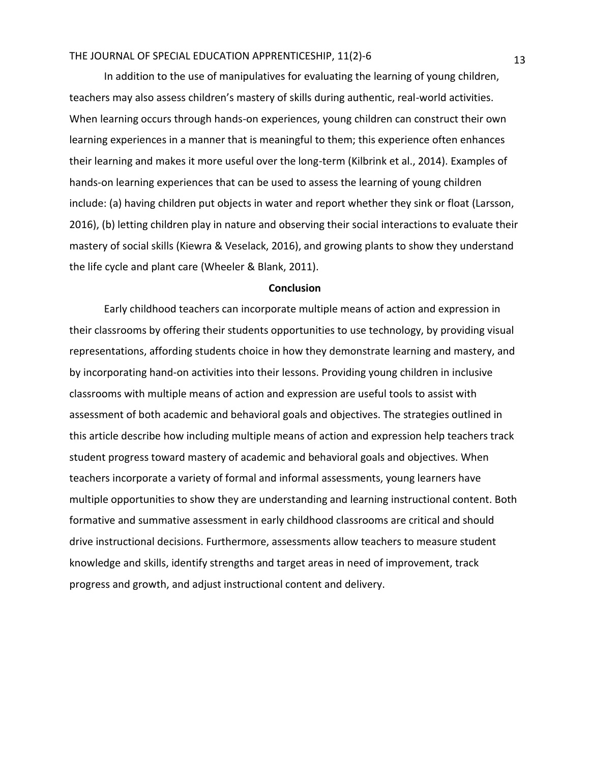In addition to the use of manipulatives for evaluating the learning of young children, teachers may also assess children's mastery of skills during authentic, real-world activities. When learning occurs through hands-on experiences, young children can construct their own learning experiences in a manner that is meaningful to them; this experience often enhances their learning and makes it more useful over the long-term (Kilbrink et al., 2014). Examples of hands-on learning experiences that can be used to assess the learning of young children include: (a) having children put objects in water and report whether they sink or float (Larsson, 2016), (b) letting children play in nature and observing their social interactions to evaluate their mastery of social skills (Kiewra & Veselack, 2016), and growing plants to show they understand the life cycle and plant care (Wheeler & Blank, 2011).

#### **Conclusion**

Early childhood teachers can incorporate multiple means of action and expression in their classrooms by offering their students opportunities to use technology, by providing visual representations, affording students choice in how they demonstrate learning and mastery, and by incorporating hand-on activities into their lessons. Providing young children in inclusive classrooms with multiple means of action and expression are useful tools to assist with assessment of both academic and behavioral goals and objectives. The strategies outlined in this article describe how including multiple means of action and expression help teachers track student progress toward mastery of academic and behavioral goals and objectives. When teachers incorporate a variety of formal and informal assessments, young learners have multiple opportunities to show they are understanding and learning instructional content. Both formative and summative assessment in early childhood classrooms are critical and should drive instructional decisions. Furthermore, assessments allow teachers to measure student knowledge and skills, identify strengths and target areas in need of improvement, track progress and growth, and adjust instructional content and delivery.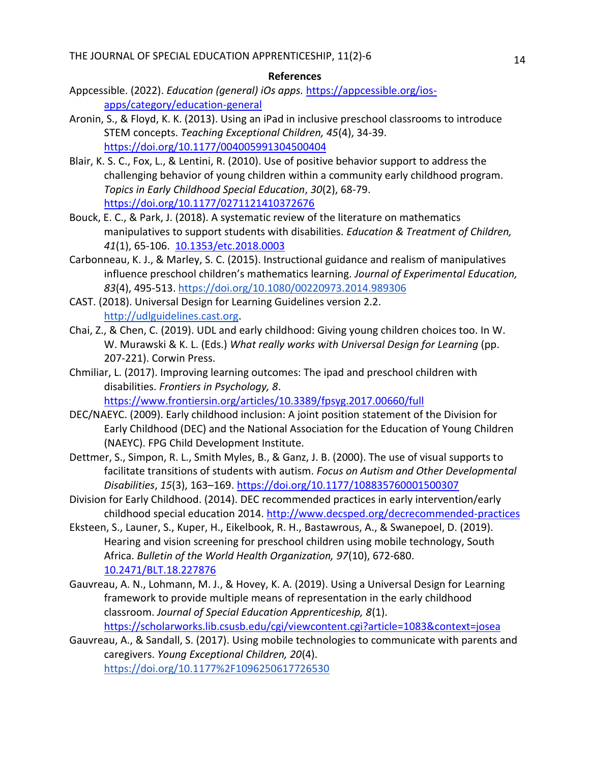#### **References**

- Appcessible. (2022). *Education (general) iOs apps.* [https://appcessible.org/ios](https://appcessible.org/ios-apps/category/education-general)[apps/category/education-general](https://appcessible.org/ios-apps/category/education-general)
- Aronin, S., & Floyd, K. K. (2013). Using an iPad in inclusive preschool classrooms to introduce STEM concepts. *Teaching Exceptional Children, 45*(4), 34-39. <https://doi.org/10.1177/004005991304500404>
- Blair, K. S. C., Fox, L., & Lentini, R. (2010). Use of positive behavior support to address the challenging behavior of young children within a community early childhood program. *Topics in Early Childhood Special Education*, *30*(2), 68-79. <https://doi.org/10.1177/0271121410372676>
- Bouck, E. C., & Park, J. (2018). A systematic review of the literature on mathematics manipulatives to support students with disabilities. *Education & Treatment of Children, 41*(1), 65-106. [10.1353/etc.2018.0003](https://doi.org/10.1353/etc.2018.0003)
- Carbonneau, K. J., & Marley, S. C. (2015). Instructional guidance and realism of manipulatives influence preschool children's mathematics learning. *Journal of Experimental Education, 83*(4), 495-513.<https://doi.org/10.1080/00220973.2014.989306>
- CAST. (2018). Universal Design for Learning Guidelines version 2.2. [http://udlguidelines.cast.org.](http://udlguidelines.cast.org/)
- Chai, Z., & Chen, C. (2019). UDL and early childhood: Giving young children choices too. In W. W. Murawski & K. L. (Eds.) *What really works with Universal Design for Learning* (pp. 207-221). Corwin Press.
- Chmiliar, L. (2017). Improving learning outcomes: The ipad and preschool children with disabilities. *Frontiers in Psychology, 8*.

<https://www.frontiersin.org/articles/10.3389/fpsyg.2017.00660/full>

- DEC/NAEYC. (2009). Early childhood inclusion: A joint position statement of the Division for Early Childhood (DEC) and the National Association for the Education of Young Children (NAEYC). FPG Child Development Institute.
- Dettmer, S., Simpon, R. L., Smith Myles, B., & Ganz, J. B. (2000). The use of visual supports to facilitate transitions of students with autism. *Focus on Autism and Other Developmental Disabilities*, *15*(3), 163–169[. https://doi.org/10.1177/108835760001500307](https://doi.org/10.1177%2F108835760001500307)
- Division for Early Childhood. (2014). DEC recommended practices in early intervention/early childhood special education 2014.<http://www.decsped.org/decrecommended-practices>
- Eksteen, S., Launer, S., Kuper, H., Eikelbook, R. H., Bastawrous, A., & Swanepoel, D. (2019). Hearing and vision screening for preschool children using mobile technology, South Africa. *Bulletin of the World Health Organization, 97*(10), 672-680. [10.2471/BLT.18.227876](https://doi.org/10.2471%2FBLT.18.227876)
- Gauvreau, A. N., Lohmann, M. J., & Hovey, K. A. (2019). Using a Universal Design for Learning framework to provide multiple means of representation in the early childhood classroom. *Journal of Special Education Apprenticeship, 8*(1). <https://scholarworks.lib.csusb.edu/cgi/viewcontent.cgi?article=1083&context=josea>
- Gauvreau, A., & Sandall, S. (2017). Using mobile technologies to communicate with parents and caregivers. *Young Exceptional Children, 20*(4)[.](https://doi.org/10.1177/1096250617726530) <https://doi.org/10.1177%2F1096250617726530>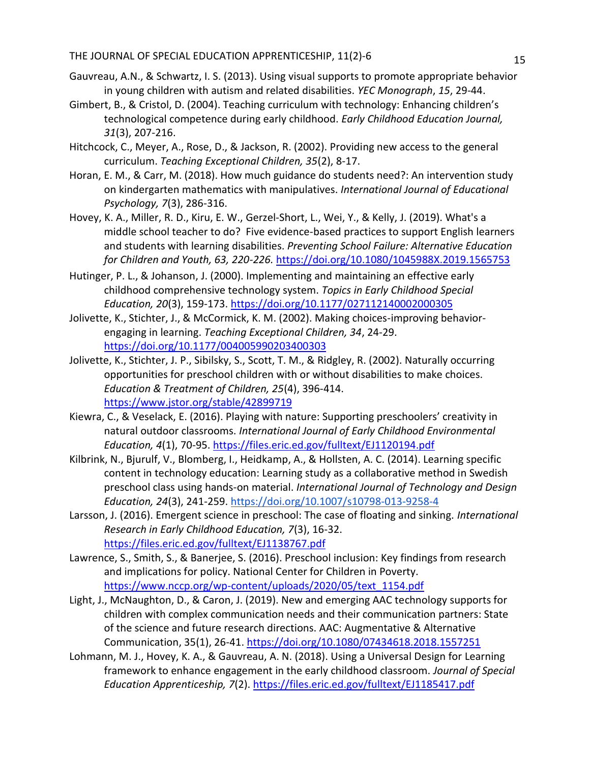- Gauvreau, A.N., & Schwartz, I. S. (2013). Using visual supports to promote appropriate behavior in young children with autism and related disabilities. *YEC Monograph*, *15*, 29-44.
- Gimbert, B., & Cristol, D. (2004). Teaching curriculum with technology: Enhancing children's technological competence during early childhood. *Early Childhood Education Journal, 31*(3), 207-216.
- Hitchcock, C., Meyer, A., Rose, D., & Jackson, R. (2002). Providing new access to the general curriculum. *Teaching Exceptional Children, 35*(2), 8-17.
- Horan, E. M., & Carr, M. (2018). How much guidance do students need?: An intervention study on kindergarten mathematics with manipulatives. *International Journal of Educational Psychology, 7*(3), 286-316.
- Hovey, K. A., Miller, R. D., Kiru, E. W., Gerzel-Short, L., Wei, Y., & Kelly, J. (2019). What's a middle school teacher to do? Five evidence-based practices to support English learners and students with learning disabilities. *Preventing School Failure: Alternative Education for Children and Youth, 63, 220-226.* <https://doi.org/10.1080/1045988X.2019.1565753>
- Hutinger, P. L., & Johanson, J. (2000). Implementing and maintaining an effective early childhood comprehensive technology system. *Topics in Early Childhood Special Education, 20*(3), 159-173. [https://doi.org/10.1177/027112140002000305](https://doi.org/10.1177%2F027112140002000305)
- Jolivette, K., Stichter, J., & McCormick, K. M. (2002). Making choices-improving behaviorengaging in learning. *Teaching Exceptional Children, 34*, 24-29. <https://doi.org/10.1177/004005990203400303>
- Jolivette, K., Stichter, J. P., Sibilsky, S., Scott, T. M., & Ridgley, R. (2002). Naturally occurring opportunities for preschool children with or without disabilities to make choices. *Education & Treatment of Children, 25*(4), 396-414. <https://www.jstor.org/stable/42899719>
- Kiewra, C., & Veselack, E. (2016). Playing with nature: Supporting preschoolers' creativity in natural outdoor classrooms. *International Journal of Early Childhood Environmental Education, 4*(1), 70-95.<https://files.eric.ed.gov/fulltext/EJ1120194.pdf>
- Kilbrink, N., Bjurulf, V., Blomberg, I., Heidkamp, A., & Hollsten, A. C. (2014). Learning specific content in technology education: Learning study as a collaborative method in Swedish preschool class using hands-on material. *International Journal of Technology and Design Education, 24*(3), 241-259.<https://doi.org/10.1007/s10798-013-9258-4>
- Larsson, J. (2016). Emergent science in preschool: The case of floating and sinking. *International Research in Early Childhood Education, 7*(3), 16-32. <https://files.eric.ed.gov/fulltext/EJ1138767.pdf>
- Lawrence, S., Smith, S., & Banerjee, S. (2016). Preschool inclusion: Key findings from research and implications for policy. National Center for Children in Poverty. [https://www.nccp.org/wp-content/uploads/2020/05/text\\_1154.pdf](https://www.nccp.org/wp-content/uploads/2020/05/text_1154.pdf)
- Light, J., McNaughton, D., & Caron, J. (2019). New and emerging AAC technology supports for children with complex communication needs and their communication partners: State of the science and future research directions. AAC: Augmentative & Alternative Communication, 35(1), 26-41.<https://doi.org/10.1080/07434618.2018.1557251>
- Lohmann, M. J., Hovey, K. A., & Gauvreau, A. N. (2018). Using a Universal Design for Learning framework to enhance engagement in the early childhood classroom. *Journal of Special Education Apprenticeship, 7*(2).<https://files.eric.ed.gov/fulltext/EJ1185417.pdf>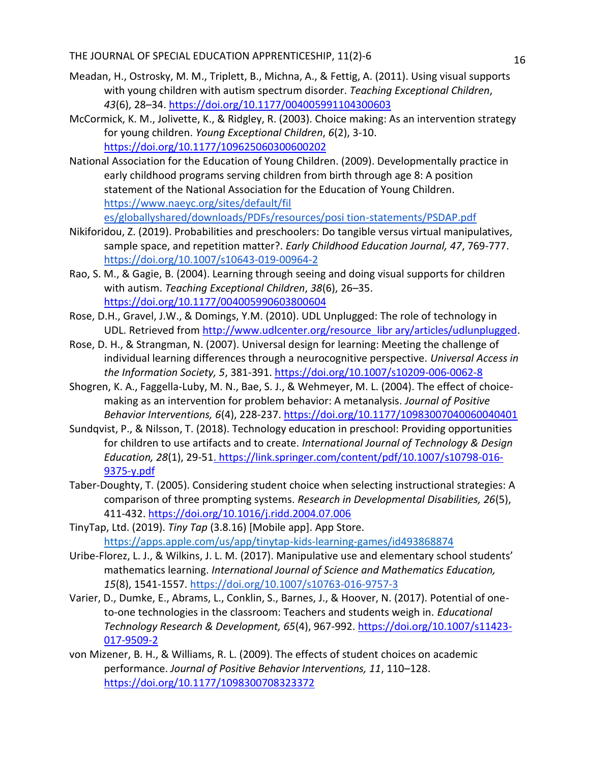- Meadan, H., Ostrosky, M. M., Triplett, B., Michna, A., & Fettig, A. (2011). Using visual supports with young children with autism spectrum disorder. *Teaching Exceptional Children*, *43*(6), 28–34. [https://doi.org/10.1177/004005991104300603](https://doi.org/10.1177%2F004005991104300603)
- McCormick, K. M., Jolivette, K., & Ridgley, R. (2003). Choice making: As an intervention strategy for young children. *Young Exceptional Children*, *6*(2), 3-10. [https://doi.org/10.1177/109625060300600202](https://doi.org/10.1177%2F109625060300600202)
- National Association for the Education of Young Children. (2009). Developmentally practice in early childhood programs serving children from birth through age 8: A position statement of the National Association for the Education of Young Children. <https://www.naeyc.org/sites/default/fil> [es/globallyshared/downloads/PDFs/resources/posi tion-statements/PSDAP.pdf](https://www.naeyc.org/sites/default/fil)
- Nikiforidou, Z. (2019). Probabilities and preschoolers: Do tangible versus virtual manipulatives, sample space, and repetition matter?. *Early Childhood Education Journal, 47*, 769-777. <https://doi.org/10.1007/s10643-019-00964-2>
- Rao, S. M., & Gagie, B. (2004). Learning through seeing and doing visual supports for children with autism. *Teaching Exceptional Children*, *38*(6), 26–35. [https://doi.org/10.1177/004005990603800604](https://doi.org/10.1177%2F004005990603800604)
- Rose, D.H., Gravel, J.W., & Domings, Y.M. (2010). UDL Unplugged: The role of technology in UDL. Retrieved from [http://www.udlcenter.org/resource\\_libr ary/articles/udlunplugged.](http://www.udlcenter.org/resource_libr%20ary/articles/udlunplugged)
- Rose, D. H., & Strangman, N. (2007). Universal design for learning: Meeting the challenge of individual learning differences through a neurocognitive perspective. *Universal Access in the Information Society, 5*, 381-391.<https://doi.org/10.1007/s10209-006-0062-8>
- Shogren, K. A., Faggella-Luby, M. N., Bae, S. J., & Wehmeyer, M. L. (2004). The effect of choicemaking as an intervention for problem behavior: A metanalysis. *Journal of Positive Behavior Interventions, 6*(4), 228-237. [https://doi.org/10.1177/10983007040060040401](https://doi.org/10.1177%2F10983007040060040401)
- Sundqvist, P., & Nilsson, T. (2018). Technology education in preschool: Providing opportunities for children to use artifacts and to create. *International Journal of Technology & Design Education, 28*(1), 29-5[1. https://link.springer.com/content/pdf/10.1007/s10798-016-](file:///G:/My%20Drive/JOSEA/Manuscripts%20submissions/09172021/revision/GLR_Tutoring_JOSEA_Revisions/final%20version/.%20https:/link.springer.com/content/pdf/10.1007/s10798-016-9375-y.pdf) [9375-y.pdf](file:///G:/My%20Drive/JOSEA/Manuscripts%20submissions/09172021/revision/GLR_Tutoring_JOSEA_Revisions/final%20version/.%20https:/link.springer.com/content/pdf/10.1007/s10798-016-9375-y.pdf)
- Taber-Doughty, T. (2005). Considering student choice when selecting instructional strategies: A comparison of three prompting systems. *Research in Developmental Disabilities, 26*(5), 411-432.<https://doi.org/10.1016/j.ridd.2004.07.006>
- TinyTap, Ltd. (2019). *Tiny Tap* (3.8.16) [Mobile app]. App Store. <https://apps.apple.com/us/app/tinytap-kids-learning-games/id493868874>
- Uribe-Florez, L. J., & Wilkins, J. L. M. (2017). Manipulative use and elementary school students' mathematics learning. *International Journal of Science and Mathematics Education, 15*(8), 1541-1557.<https://doi.org/10.1007/s10763-016-9757-3>
- Varier, D., Dumke, E., Abrams, L., Conklin, S., Barnes, J., & Hoover, N. (2017). Potential of oneto-one technologies in the classroom: Teachers and students weigh in. *Educational Technology Research & Development, 65*(4), 967-992. [https://doi.org/10.1007/s11423-](https://doi.org/10.1007/s11423-017-9509-2) [017-9509-2](https://doi.org/10.1007/s11423-017-9509-2)
- von Mizener, B. H., & Williams, R. L. (2009). The effects of student choices on academic performance. *Journal of Positive Behavior Interventions, 11*, 110–128. <https://doi.org/10.1177/1098300708323372>